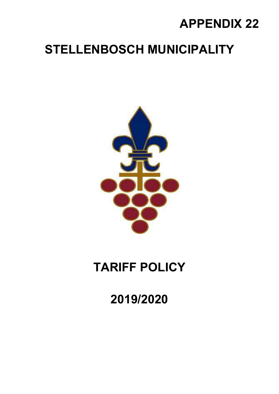## APPENDIX 22

## STELLENBOSCH MUNICIPALITY



# TARIFF POLICY

2019/2020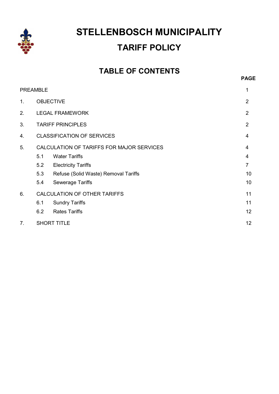

### STELLENBOSCH MUNICIPALITY TARIFF POLICY

### TABLE OF CONTENTS

|                | <b>PREAMBLE</b>                           |                                      | 1              |
|----------------|-------------------------------------------|--------------------------------------|----------------|
| 1 <sub>1</sub> | <b>OBJECTIVE</b>                          |                                      | 2              |
| 2.             |                                           | <b>LEGAL FRAMEWORK</b>               | 2              |
| 3.             |                                           | <b>TARIFF PRINCIPLES</b>             |                |
| 4.             | <b>CLASSIFICATION OF SERVICES</b>         |                                      | 4              |
| 5.             | CALCULATION OF TARIFFS FOR MAJOR SERVICES |                                      | 4              |
|                | 5.1                                       | <b>Water Tariffs</b>                 | 4              |
|                | 5.2                                       | <b>Electricity Tariffs</b>           | $\overline{7}$ |
|                | 5.3                                       | Refuse (Solid Waste) Removal Tariffs | 10             |
|                | 5.4                                       | <b>Sewerage Tariffs</b>              | 10             |
| 6.             | CALCULATION OF OTHER TARIFFS              |                                      | 11             |
|                | 6.1                                       | <b>Sundry Tariffs</b>                | 11             |
|                | 6.2                                       | <b>Rates Tariffs</b>                 | 12             |
| 7.             | <b>SHORT TITLE</b>                        |                                      | 12             |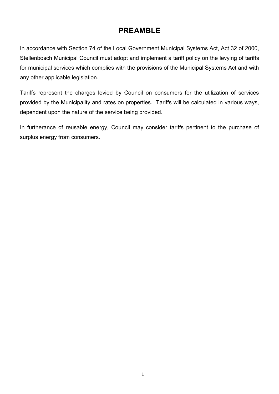### PREAMBLE

In accordance with Section 74 of the Local Government Municipal Systems Act, Act 32 of 2000, Stellenbosch Municipal Council must adopt and implement a tariff policy on the levying of tariffs for municipal services which complies with the provisions of the Municipal Systems Act and with any other applicable legislation.

Tariffs represent the charges levied by Council on consumers for the utilization of services provided by the Municipality and rates on properties. Tariffs will be calculated in various ways, dependent upon the nature of the service being provided.

In furtherance of reusable energy, Council may consider tariffs pertinent to the purchase of surplus energy from consumers.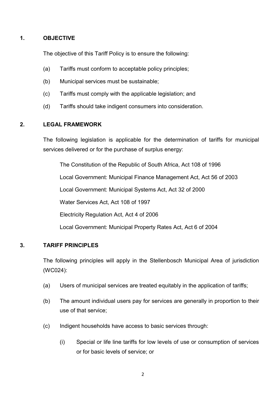#### 1. OBJECTIVE

The objective of this Tariff Policy is to ensure the following:

- (a) Tariffs must conform to acceptable policy principles;
- (b) Municipal services must be sustainable;
- (c) Tariffs must comply with the applicable legislation; and
- (d) Tariffs should take indigent consumers into consideration.

#### 2. LEGAL FRAMEWORK

The following legislation is applicable for the determination of tariffs for municipal services delivered or for the purchase of surplus energy:

 The Constitution of the Republic of South Africa, Act 108 of 1996 Local Government: Municipal Finance Management Act, Act 56 of 2003 Local Government: Municipal Systems Act, Act 32 of 2000 Water Services Act, Act 108 of 1997 Electricity Regulation Act, Act 4 of 2006 Local Government: Municipal Property Rates Act, Act 6 of 2004

#### 3. TARIFF PRINCIPLES

The following principles will apply in the Stellenbosch Municipal Area of jurisdiction (WC024):

- (a) Users of municipal services are treated equitably in the application of tariffs;
- (b) The amount individual users pay for services are generally in proportion to their use of that service;
- (c) Indigent households have access to basic services through:
	- (i) Special or life line tariffs for low levels of use or consumption of services or for basic levels of service; or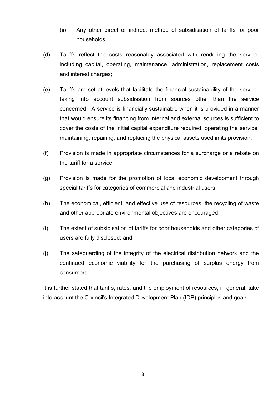- (ii) Any other direct or indirect method of subsidisation of tariffs for poor households.
- (d) Tariffs reflect the costs reasonably associated with rendering the service, including capital, operating, maintenance, administration, replacement costs and interest charges;
- (e) Tariffs are set at levels that facilitate the financial sustainability of the service, taking into account subsidisation from sources other than the service concerned. A service is financially sustainable when it is provided in a manner that would ensure its financing from internal and external sources is sufficient to cover the costs of the initial capital expenditure required, operating the service, maintaining, repairing, and replacing the physical assets used in its provision;
- (f) Provision is made in appropriate circumstances for a surcharge or a rebate on the tariff for a service;
- (g) Provision is made for the promotion of local economic development through special tariffs for categories of commercial and industrial users;
- (h) The economical, efficient, and effective use of resources, the recycling of waste and other appropriate environmental objectives are encouraged;
- (i) The extent of subsidisation of tariffs for poor households and other categories of users are fully disclosed; and
- (j) The safeguarding of the integrity of the electrical distribution network and the continued economic viability for the purchasing of surplus energy from consumers.

It is further stated that tariffs, rates, and the employment of resources, in general, take into account the Council's Integrated Development Plan (IDP) principles and goals.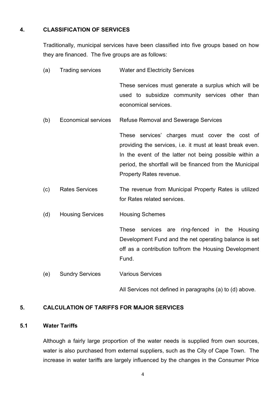#### 4. CLASSIFICATION OF SERVICES

Traditionally, municipal services have been classified into five groups based on how they are financed. The five groups are as follows:

- (a) Trading services Water and Electricity Services These services must generate a surplus which will be used to subsidize community services other than economical services. (b) Economical services Refuse Removal and Sewerage Services These services' charges must cover the cost of providing the services, i.e. it must at least break even. In the event of the latter not being possible within a period, the shortfall will be financed from the Municipal Property Rates revenue. (c) Rates Services The revenue from Municipal Property Rates is utilized for Rates related services. (d) Housing Services Housing Schemes These services are ring-fenced in the Housing Development Fund and the net operating balance is set off as a contribution to/from the Housing Development Fund.
- (e) Sundry Services Various Services

All Services not defined in paragraphs (a) to (d) above.

#### 5. CALCULATION OF TARIFFS FOR MAJOR SERVICES

#### 5.1 Water Tariffs

Although a fairly large proportion of the water needs is supplied from own sources, water is also purchased from external suppliers, such as the City of Cape Town. The increase in water tariffs are largely influenced by the changes in the Consumer Price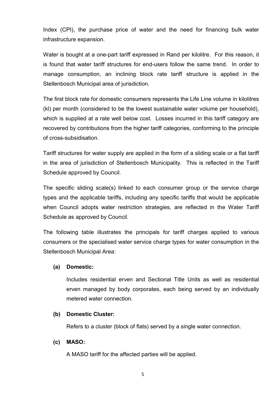Index (CPI), the purchase price of water and the need for financing bulk water infrastructure expansion.

Water is bought at a one-part tariff expressed in Rand per kilolitre. For this reason, it is found that water tariff structures for end-users follow the same trend. In order to manage consumption, an inclining block rate tariff structure is applied in the Stellenbosch Municipal area of jurisdiction.

The first block rate for domestic consumers represents the Life Line volume in kilolitres (kl) per month (considered to be the lowest sustainable water volume per household), which is supplied at a rate well below cost. Losses incurred in this tariff category are recovered by contributions from the higher tariff categories, conforming to the principle of cross-subsidisation.

Tariff structures for water supply are applied in the form of a sliding scale or a flat tariff in the area of jurisdiction of Stellenbosch Municipality. This is reflected in the Tariff Schedule approved by Council.

The specific sliding scale(s) linked to each consumer group or the service charge types and the applicable tariffs, including any specific tariffs that would be applicable when Council adopts water restriction strategies, are reflected in the Water Tariff Schedule as approved by Council.

The following table illustrates the principals for tariff charges applied to various consumers or the specialised water service charge types for water consumption in the Stellenbosch Municipal Area:

#### (a) Domestic:

Includes residential erven and Sectional Title Units as well as residential erven managed by body corporates, each being served by an individually metered water connection.

#### (b) Domestic Cluster:

Refers to a cluster (block of flats) served by a single water connection.

#### (c) MASO:

A MASO tariff for the affected parties will be applied.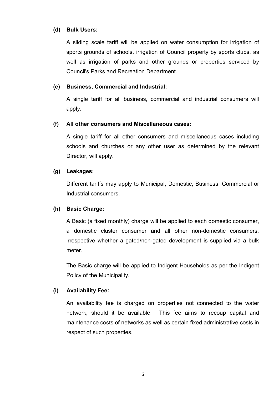#### (d) Bulk Users:

A sliding scale tariff will be applied on water consumption for irrigation of sports grounds of schools, irrigation of Council property by sports clubs, as well as irrigation of parks and other grounds or properties serviced by Council's Parks and Recreation Department.

#### (e) Business, Commercial and Industrial:

A single tariff for all business, commercial and industrial consumers will apply.

#### (f) All other consumers and Miscellaneous cases:

A single tariff for all other consumers and miscellaneous cases including schools and churches or any other user as determined by the relevant Director, will apply.

#### (g) Leakages:

Different tariffs may apply to Municipal, Domestic, Business, Commercial or Industrial consumers.

#### (h) Basic Charge:

A Basic (a fixed monthly) charge will be applied to each domestic consumer, a domestic cluster consumer and all other non-domestic consumers, irrespective whether a gated/non-gated development is supplied via a bulk meter.

The Basic charge will be applied to Indigent Households as per the Indigent Policy of the Municipality.

#### (i) Availability Fee:

An availability fee is charged on properties not connected to the water network, should it be available. This fee aims to recoup capital and maintenance costs of networks as well as certain fixed administrative costs in respect of such properties.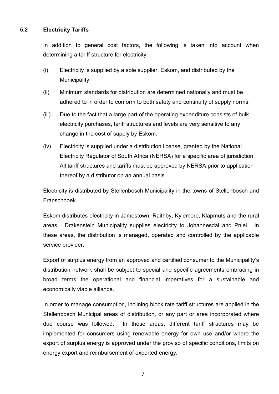#### 5.2 Electricity Tariffs

In addition to general cost factors, the following is taken into account when determining a tariff structure for electricity:

- (i) Electricity is supplied by a sole supplier, Eskom, and distributed by the Municipality.
- (ii) Minimum standards for distribution are determined nationally and must be adhered to in order to conform to both safety and continuity of supply norms.
- (iii) Due to the fact that a large part of the operating expenditure consists of bulk electricity purchases, tariff structures and levels are very sensitive to any change in the cost of supply by Eskom.
- (iv) Electricity is supplied under a distribution license, granted by the National Electricity Regulator of South Africa (NERSA) for a specific area of jurisdiction. All tariff structures and tariffs must be approved by NERSA prior to application thereof by a distributor on an annual basis.

Electricity is distributed by Stellenbosch Municipality in the towns of Stellenbosch and Franschhoek.

Eskom distributes electricity in Jamestown, Raithby, Kylemore, Klapmuts and the rural areas. Drakenstein Municipality supplies electricity to Johannesdal and Pniel. In these areas, the distribution is managed, operated and controlled by the applicable service provider.

Export of surplus energy from an approved and certified consumer to the Municipality's distribution network shall be subject to special and specific agreements embracing in broad terms the operational and financial imperatives for a sustainable and economically viable alliance.

In order to manage consumption, inclining block rate tariff structures are applied in the Stellenbosch Municipal areas of distribution, or any part or area incorporated where due course was followed. In these areas, different tariff structures may be implemented for consumers using renewable energy for own use and/or where the export of surplus energy is approved under the proviso of specific conditions, limits on energy export and reimbursement of exported energy.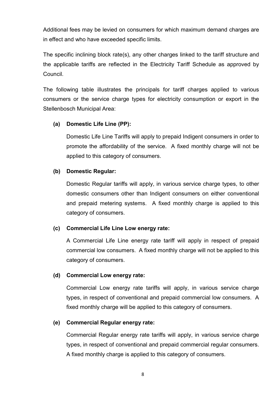Additional fees may be levied on consumers for which maximum demand charges are in effect and who have exceeded specific limits.

The specific inclining block rate(s), any other charges linked to the tariff structure and the applicable tariffs are reflected in the Electricity Tariff Schedule as approved by Council.

The following table illustrates the principals for tariff charges applied to various consumers or the service charge types for electricity consumption or export in the Stellenbosch Municipal Area:

#### (a) Domestic Life Line (PP):

Domestic Life Line Tariffs will apply to prepaid Indigent consumers in order to promote the affordability of the service. A fixed monthly charge will not be applied to this category of consumers.

#### (b) Domestic Regular:

Domestic Regular tariffs will apply, in various service charge types, to other domestic consumers other than Indigent consumers on either conventional and prepaid metering systems. A fixed monthly charge is applied to this category of consumers.

#### (c) Commercial Life Line Low energy rate:

A Commercial Life Line energy rate tariff will apply in respect of prepaid commercial low consumers. A fixed monthly charge will not be applied to this category of consumers.

#### (d) Commercial Low energy rate:

Commercial Low energy rate tariffs will apply, in various service charge types, in respect of conventional and prepaid commercial low consumers. A fixed monthly charge will be applied to this category of consumers.

#### (e) Commercial Regular energy rate:

Commercial Regular energy rate tariffs will apply, in various service charge types, in respect of conventional and prepaid commercial regular consumers. A fixed monthly charge is applied to this category of consumers.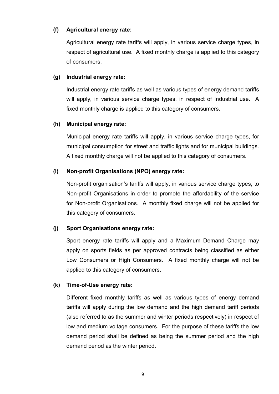#### (f) Agricultural energy rate:

Agricultural energy rate tariffs will apply, in various service charge types, in respect of agricultural use. A fixed monthly charge is applied to this category of consumers.

#### (g) Industrial energy rate:

Industrial energy rate tariffs as well as various types of energy demand tariffs will apply, in various service charge types, in respect of Industrial use. A fixed monthly charge is applied to this category of consumers.

#### (h) Municipal energy rate:

Municipal energy rate tariffs will apply, in various service charge types, for municipal consumption for street and traffic lights and for municipal buildings. A fixed monthly charge will not be applied to this category of consumers.

#### (i) Non-profit Organisations (NPO) energy rate:

Non-profit organisation's tariffs will apply, in various service charge types, to Non-profit Organisations in order to promote the affordability of the service for Non-profit Organisations. A monthly fixed charge will not be applied for this category of consumers.

#### (j) Sport Organisations energy rate:

Sport energy rate tariffs will apply and a Maximum Demand Charge may apply on sports fields as per approved contracts being classified as either Low Consumers or High Consumers. A fixed monthly charge will not be applied to this category of consumers.

#### (k) Time-of-Use energy rate:

Different fixed monthly tariffs as well as various types of energy demand tariffs will apply during the low demand and the high demand tariff periods (also referred to as the summer and winter periods respectively) in respect of low and medium voltage consumers. For the purpose of these tariffs the low demand period shall be defined as being the summer period and the high demand period as the winter period.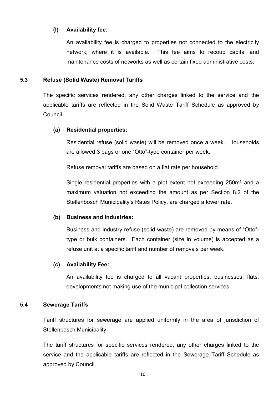#### (l) Availability fee:

An availability fee is charged to properties not connected to the electricity network, where it is available. This fee aims to recoup capital and maintenance costs of networks as well as certain fixed administrative costs.

#### 5.3 Refuse (Solid Waste) Removal Tariffs

The specific services rendered, any other charges linked to the service and the applicable tariffs are reflected in the Solid Waste Tariff Schedule as approved by Council.

#### (a) Residential properties:

Residential refuse (solid waste) will be removed once a week. Households are allowed 3 bags or one "Otto"-type container per week.

Refuse removal tariffs are based on a flat rate per household.

Single residential properties with a plot extent not exceeding 250m² and a maximum valuation not exceeding the amount as per Section 8.2 of the Stellenbosch Municipality's Rates Policy, are charged a lower rate.

#### (b) Business and industries:

Business and industry refuse (solid waste) are removed by means of "Otto" type or bulk containers. Each container (size in volume) is accepted as a refuse unit at a specific tariff and number of removals per week.

#### (c) Availability Fee:

An availability fee is charged to all vacant properties, businesses, flats, developments not making use of the municipal collection services.

#### 5.4 Sewerage Tariffs

Tariff structures for sewerage are applied uniformly in the area of jurisdiction of Stellenbosch Municipality.

The tariff structures for specific services rendered, any other charges linked to the service and the applicable tariffs are reflected in the Sewerage Tariff Schedule as approved by Council.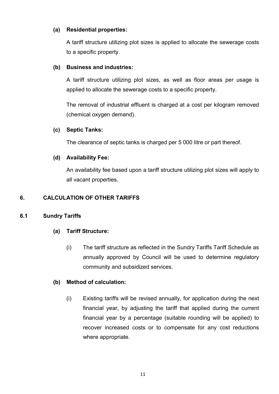#### (a) Residential properties:

A tariff structure utilizing plot sizes is applied to allocate the sewerage costs to a specific property.

#### (b) Business and industries:

A tariff structure utilizing plot sizes, as well as floor areas per usage is applied to allocate the sewerage costs to a specific property.

The removal of industrial effluent is charged at a cost per kilogram removed (chemical oxygen demand).

#### (c) Septic Tanks:

The clearance of septic tanks is charged per 5 000 litre or part thereof.

#### (d) Availability Fee:

An availability fee based upon a tariff structure utilizing plot sizes will apply to all vacant properties.

#### 6. CALCULATION OF OTHER TARIFFS

#### 6.1 Sundry Tariffs

#### (a) Tariff Structure:

(i) The tariff structure as reflected in the Sundry Tariffs Tariff Schedule as annually approved by Council will be used to determine regulatory community and subsidized services.

#### (b) Method of calculation:

(i) Existing tariffs will be revised annually, for application during the next financial year, by adjusting the tariff that applied during the current financial year by a percentage (suitable rounding will be applied) to recover increased costs or to compensate for any cost reductions where appropriate.